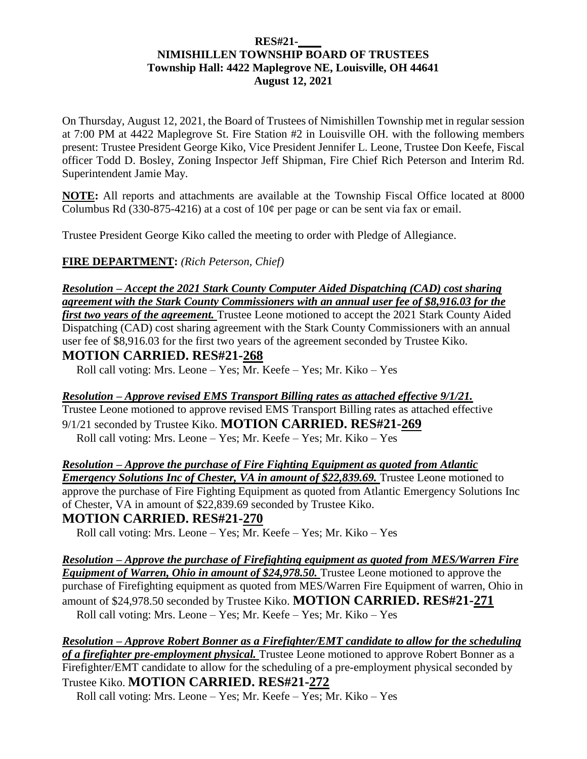#### **RES#21-\_\_\_\_ NIMISHILLEN TOWNSHIP BOARD OF TRUSTEES Township Hall: 4422 Maplegrove NE, Louisville, OH 44641 August 12, 2021**

On Thursday, August 12, 2021, the Board of Trustees of Nimishillen Township met in regular session at 7:00 PM at 4422 Maplegrove St. Fire Station #2 in Louisville OH. with the following members present: Trustee President George Kiko, Vice President Jennifer L. Leone, Trustee Don Keefe, Fiscal officer Todd D. Bosley, Zoning Inspector Jeff Shipman, Fire Chief Rich Peterson and Interim Rd. Superintendent Jamie May.

**NOTE:** All reports and attachments are available at the Township Fiscal Office located at 8000 Columbus Rd (330-875-4216) at a cost of  $10¢$  per page or can be sent via fax or email.

Trustee President George Kiko called the meeting to order with Pledge of Allegiance.

**FIRE DEPARTMENT:** *(Rich Peterson, Chief)*

*Resolution – Accept the 2021 Stark County Computer Aided Dispatching (CAD) cost sharing agreement with the Stark County Commissioners with an annual user fee of \$8,916.03 for the* 

*first two years of the agreement.* Trustee Leone motioned to accept the 2021 Stark County Aided Dispatching (CAD) cost sharing agreement with the Stark County Commissioners with an annual user fee of \$8,916.03 for the first two years of the agreement seconded by Trustee Kiko.

### **MOTION CARRIED. RES#21-268**

Roll call voting: Mrs. Leone – Yes; Mr. Keefe – Yes; Mr. Kiko – Yes

*Resolution – Approve revised EMS Transport Billing rates as attached effective 9/1/21.* Trustee Leone motioned to approve revised EMS Transport Billing rates as attached effective 9/1/21 seconded by Trustee Kiko. **MOTION CARRIED. RES#21-269**  Roll call voting: Mrs. Leone – Yes; Mr. Keefe – Yes; Mr. Kiko – Yes

*Resolution – Approve the purchase of Fire Fighting Equipment as quoted from Atlantic Emergency Solutions Inc of Chester, VA in amount of \$22,839.69.* Trustee Leone motioned to approve the purchase of Fire Fighting Equipment as quoted from Atlantic Emergency Solutions Inc of Chester, VA in amount of \$22,839.69 seconded by Trustee Kiko.

### **MOTION CARRIED. RES#21-270**

Roll call voting: Mrs. Leone – Yes; Mr. Keefe – Yes; Mr. Kiko – Yes

*Resolution – Approve the purchase of Firefighting equipment as quoted from MES/Warren Fire Equipment of Warren, Ohio in amount of \$24,978.50.* **Trustee Leone motioned to approve the** purchase of Firefighting equipment as quoted from MES/Warren Fire Equipment of warren, Ohio in amount of \$24,978.50 seconded by Trustee Kiko. **MOTION CARRIED. RES#21-271** Roll call voting: Mrs. Leone – Yes; Mr. Keefe – Yes; Mr. Kiko – Yes

*Resolution – Approve Robert Bonner as a Firefighter/EMT candidate to allow for the scheduling of a firefighter pre-employment physical.* Trustee Leone motioned to approve Robert Bonner as a Firefighter/EMT candidate to allow for the scheduling of a pre-employment physical seconded by Trustee Kiko. **MOTION CARRIED. RES#21-272** 

Roll call voting: Mrs. Leone – Yes; Mr. Keefe – Yes; Mr. Kiko – Yes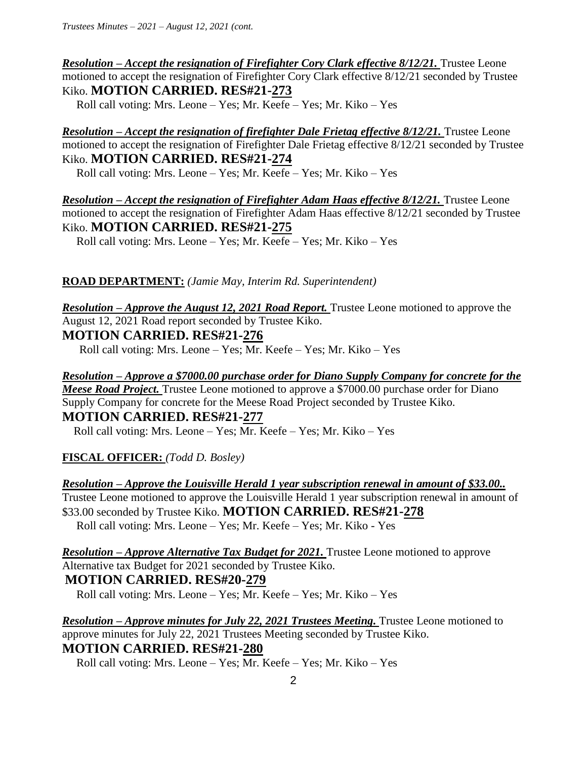*Resolution – Accept the resignation of Firefighter Cory Clark effective 8/12/21.* Trustee Leone motioned to accept the resignation of Firefighter Cory Clark effective 8/12/21 seconded by Trustee Kiko. **MOTION CARRIED. RES#21-273** 

Roll call voting: Mrs. Leone – Yes; Mr. Keefe – Yes; Mr. Kiko – Yes

*Resolution – Accept the resignation of firefighter Dale Frietag effective 8/12/21.* Trustee Leone motioned to accept the resignation of Firefighter Dale Frietag effective 8/12/21 seconded by Trustee Kiko. **MOTION CARRIED. RES#21-274** 

Roll call voting: Mrs. Leone – Yes; Mr. Keefe – Yes; Mr. Kiko – Yes

*Resolution – Accept the resignation of Firefighter Adam Haas effective 8/12/21.* Trustee Leone motioned to accept the resignation of Firefighter Adam Haas effective 8/12/21 seconded by Trustee Kiko. **MOTION CARRIED. RES#21-275** 

Roll call voting: Mrs. Leone – Yes; Mr. Keefe – Yes; Mr. Kiko – Yes

#### **ROAD DEPARTMENT:** *(Jamie May, Interim Rd. Superintendent)*

*Resolution – Approve the August 12, 2021 Road Report.* Trustee Leone motioned to approve the August 12, 2021 Road report seconded by Trustee Kiko.

### **MOTION CARRIED. RES#21-276**

Roll call voting: Mrs. Leone – Yes; Mr. Keefe – Yes; Mr. Kiko – Yes

*Resolution – Approve a \$7000.00 purchase order for Diano Supply Company for concrete for the Meese Road Project.* Trustee Leone motioned to approve a \$7000.00 purchase order for Diano

Supply Company for concrete for the Meese Road Project seconded by Trustee Kiko. **MOTION CARRIED. RES#21-277**

Roll call voting: Mrs. Leone – Yes; Mr. Keefe – Yes; Mr. Kiko – Yes

### **FISCAL OFFICER:** *(Todd D. Bosley)*

*Resolution – Approve the Louisville Herald 1 year subscription renewal in amount of \$33.00..*  Trustee Leone motioned to approve the Louisville Herald 1 year subscription renewal in amount of \$33.00 seconded by Trustee Kiko. **MOTION CARRIED. RES#21-278** Roll call voting: Mrs. Leone – Yes; Mr. Keefe – Yes; Mr. Kiko - Yes

*Resolution – Approve Alternative Tax Budget for 2021.* Trustee Leone motioned to approve Alternative tax Budget for 2021 seconded by Trustee Kiko. **MOTION CARRIED. RES#20-279**

Roll call voting: Mrs. Leone – Yes; Mr. Keefe – Yes; Mr. Kiko – Yes

*Resolution – Approve minutes for July 22, 2021 Trustees Meeting.* Trustee Leone motioned to approve minutes for July 22, 2021 Trustees Meeting seconded by Trustee Kiko. **MOTION CARRIED. RES#21-280**

Roll call voting: Mrs. Leone – Yes; Mr. Keefe – Yes; Mr. Kiko – Yes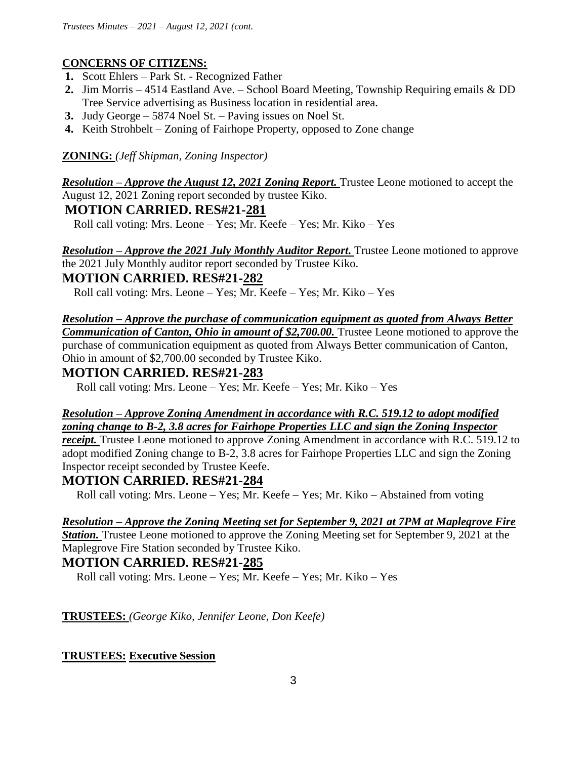# **CONCERNS OF CITIZENS:**

- **1.** Scott Ehlers Park St. Recognized Father
- **2.** Jim Morris 4514 Eastland Ave. School Board Meeting, Township Requiring emails & DD Tree Service advertising as Business location in residential area.
- **3.** Judy George 5874 Noel St. Paving issues on Noel St.
- **4.** Keith Strohbelt Zoning of Fairhope Property, opposed to Zone change

## **ZONING:** *(Jeff Shipman, Zoning Inspector)*

*Resolution – Approve the August 12, 2021 Zoning Report.* Trustee Leone motioned to accept the August 12, 2021 Zoning report seconded by trustee Kiko.

# **MOTION CARRIED. RES#21-281**

Roll call voting: Mrs. Leone – Yes; Mr. Keefe – Yes; Mr. Kiko – Yes

*Resolution – Approve the 2021 July Monthly Auditor Report.* Trustee Leone motioned to approve the 2021 July Monthly auditor report seconded by Trustee Kiko.

### **MOTION CARRIED. RES#21-282**

Roll call voting: Mrs. Leone – Yes; Mr. Keefe – Yes; Mr. Kiko – Yes

*Resolution – Approve the purchase of communication equipment as quoted from Always Better*  **Communication of Canton, Ohio in amount of \$2,700.00.** Trustee Leone motioned to approve the purchase of communication equipment as quoted from Always Better communication of Canton, Ohio in amount of \$2,700.00 seconded by Trustee Kiko.

# **MOTION CARRIED. RES#21-283**

Roll call voting: Mrs. Leone – Yes; Mr. Keefe – Yes; Mr. Kiko – Yes

# *Resolution – Approve Zoning Amendment in accordance with R.C. 519.12 to adopt modified zoning change to B-2, 3.8 acres for Fairhope Properties LLC and sign the Zoning Inspector*

*receipt*. Trustee Leone motioned to approve Zoning Amendment in accordance with R.C. 519.12 to adopt modified Zoning change to B-2, 3.8 acres for Fairhope Properties LLC and sign the Zoning Inspector receipt seconded by Trustee Keefe.

# **MOTION CARRIED. RES#21-284**

Roll call voting: Mrs. Leone – Yes; Mr. Keefe – Yes; Mr. Kiko – Abstained from voting

### *Resolution – Approve the Zoning Meeting set for September 9, 2021 at 7PM at Maplegrove Fire*

*Station.* Trustee Leone motioned to approve the Zoning Meeting set for September 9, 2021 at the Maplegrove Fire Station seconded by Trustee Kiko.

# **MOTION CARRIED. RES#21-285**

Roll call voting: Mrs. Leone – Yes; Mr. Keefe – Yes; Mr. Kiko – Yes

**TRUSTEES:** *(George Kiko, Jennifer Leone, Don Keefe)*

### **TRUSTEES: Executive Session**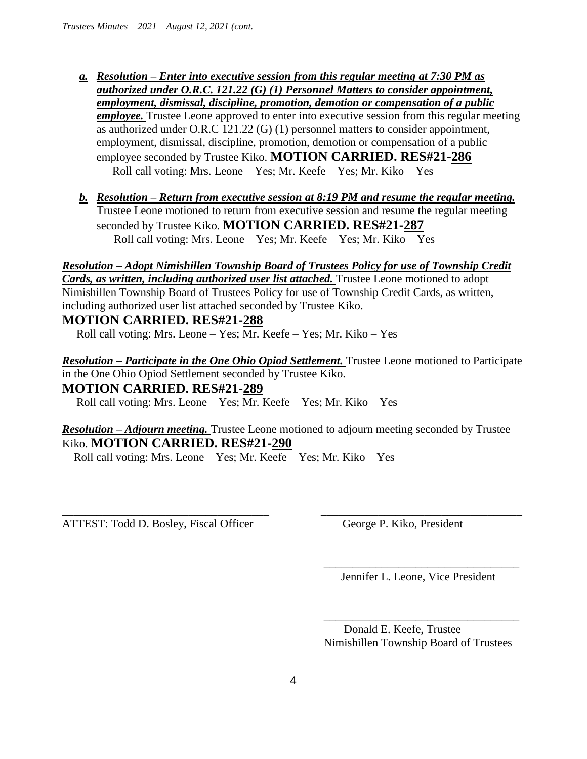- *a. Resolution – Enter into executive session from this regular meeting at 7:30 PM as authorized under O.R.C. 121.22 (G) (1) Personnel Matters to consider appointment, employment, dismissal, discipline, promotion, demotion or compensation of a public employee*. Trustee Leone approved to enter into executive session from this regular meeting as authorized under O.R.C 121.22 (G) (1) personnel matters to consider appointment, employment, dismissal, discipline, promotion, demotion or compensation of a public employee seconded by Trustee Kiko. **MOTION CARRIED. RES#21-286** Roll call voting: Mrs. Leone – Yes; Mr. Keefe – Yes; Mr. Kiko – Yes
- *b. Resolution – Return from executive session at 8:19 PM and resume the regular meeting.*  Trustee Leone motioned to return from executive session and resume the regular meeting seconded by Trustee Kiko. **MOTION CARRIED. RES#21-287** Roll call voting: Mrs. Leone – Yes; Mr. Keefe – Yes; Mr. Kiko – Yes

### *Resolution – Adopt Nimishillen Township Board of Trustees Policy for use of Township Credit Cards, as written, including authorized user list attached.* Trustee Leone motioned to adopt Nimishillen Township Board of Trustees Policy for use of Township Credit Cards, as written, including authorized user list attached seconded by Trustee Kiko.

# **MOTION CARRIED. RES#21-288**

Roll call voting: Mrs. Leone – Yes; Mr. Keefe – Yes; Mr. Kiko – Yes

*Resolution – Participate in the One Ohio Opiod Settlement.* Trustee Leone motioned to Participate in the One Ohio Opiod Settlement seconded by Trustee Kiko. **MOTION CARRIED. RES#21-289**

Roll call voting: Mrs. Leone – Yes; Mr. Keefe – Yes; Mr. Kiko – Yes

### *Resolution – Adjourn meeting.* Trustee Leone motioned to adjourn meeting seconded by Trustee Kiko. **MOTION CARRIED. RES#21-290**

\_\_\_\_\_\_\_\_\_\_\_\_\_\_\_\_\_\_\_\_\_\_\_\_\_\_\_\_\_\_\_\_\_\_\_\_ \_\_\_\_\_\_\_\_\_\_\_\_\_\_\_\_\_\_\_\_\_\_\_\_\_\_\_\_\_\_\_\_\_\_\_

 $\overline{\phantom{a}}$  , and the contract of the contract of the contract of the contract of the contract of the contract of the contract of the contract of the contract of the contract of the contract of the contract of the contrac

Roll call voting: Mrs. Leone – Yes; Mr. Keefe – Yes; Mr. Kiko – Yes

ATTEST: Todd D. Bosley, Fiscal Officer George P. Kiko, President

Jennifer L. Leone, Vice President

 $\overline{\phantom{a}}$  , and the contract of the contract of the contract of the contract of the contract of the contract of the contract of the contract of the contract of the contract of the contract of the contract of the contrac Donald E. Keefe, Trustee Nimishillen Township Board of Trustees